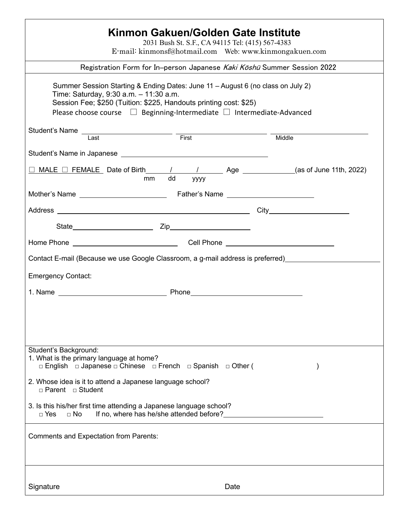| Kinmon Gakuen/Golden Gate Institute<br>2031 Bush St. S.F., CA 94115 Tel: (415) 567-4383<br>E-mail: kinmonsf@hotmail.com Web: www.kinmongakuen.com                                                                                                                                 |      |      |        |  |
|-----------------------------------------------------------------------------------------------------------------------------------------------------------------------------------------------------------------------------------------------------------------------------------|------|------|--------|--|
| Registration Form for In-person Japanese Kaki Koshū Summer Session 2022                                                                                                                                                                                                           |      |      |        |  |
| Summer Session Starting & Ending Dates: June 11 - August 6 (no class on July 2)<br>Time: Saturday, 9:30 a.m. - 11:30 a.m.<br>Session Fee; \$250 (Tuition: \$225, Handouts printing cost: \$25)<br>Please choose course $\Box$ Beginning-Intermediate $\Box$ Intermediate-Advanced |      |      |        |  |
|                                                                                                                                                                                                                                                                                   |      |      | Middle |  |
|                                                                                                                                                                                                                                                                                   |      |      |        |  |
| $\Box$ MALE $\Box$ FEMALE Date of Birth $\angle$ / Age __________(as of June 11th, 2022)<br>mm dd yyyy                                                                                                                                                                            | уууу |      |        |  |
|                                                                                                                                                                                                                                                                                   |      |      |        |  |
|                                                                                                                                                                                                                                                                                   |      |      |        |  |
|                                                                                                                                                                                                                                                                                   |      |      |        |  |
|                                                                                                                                                                                                                                                                                   |      |      |        |  |
| Contact E-mail (Because we use Google Classroom, a g-mail address is preferred)                                                                                                                                                                                                   |      |      |        |  |
| <b>Emergency Contact:</b>                                                                                                                                                                                                                                                         |      |      |        |  |
|                                                                                                                                                                                                                                                                                   |      |      |        |  |
|                                                                                                                                                                                                                                                                                   |      |      |        |  |
| Student's Background:<br>1. What is the primary language at home?<br>□ English □ Japanese □ Chinese □ French □ Spanish □ Other (                                                                                                                                                  |      |      |        |  |
| 2. Whose idea is it to attend a Japanese language school?<br>$\Box$ Parent $\Box$ Student                                                                                                                                                                                         |      |      |        |  |
| 3. Is this his/her first time attending a Japanese language school?<br>If no, where has he/she attended before?<br>$\Box$ Yes<br>$\Box$ No                                                                                                                                        |      |      |        |  |
| <b>Comments and Expectation from Parents:</b>                                                                                                                                                                                                                                     |      |      |        |  |
| Signature                                                                                                                                                                                                                                                                         |      | Date |        |  |